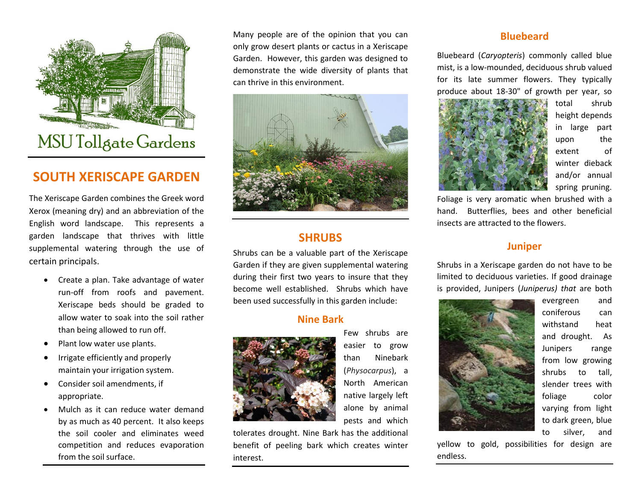

## **SOUTH XERISCAPE GARDEN**

The Xeriscape Garden combines the Greek word Xerox (meaning dry) and an abbreviation of the English word landscape. This represents a garden landscape that thrives with little supplemental watering through the use of certain principals.

- Create a plan. Take advantage of water run-off from roofs and pavement. Xeriscape beds should be graded to allow water to soak into the soil rather than being allowed to run off.
- Plant low water use plants.
- Irrigate efficiently and properly maintain your irrigation system.
- Consider soil amendments, if appropriate.
- Mulch as it can reduce water demand by as much as 40 percent. It also keeps the soil cooler and eliminates weed competition and reduces evaporation from the soil surface.

Many people are of the opinion that you can only grow desert plants or cactus in a Xeriscape Garden. However, this garden was designed to demonstrate the wide diversity of plants that can thrive in this environment.



### **SHRUBS**

Shrubs can be a valuable part of the Xeriscape Garden if they are given supplemental watering during their first two years to insure that they become well established. Shrubs which have been used successfully in this garden include:

#### **Nine Bark**



Few shrubs are easier to grow than Ninebark (*Physocarpus*), a North American native largely left alone by animal pests and which

tolerates drought. Nine Bark has the additional benefit of peeling bark which creates winter interest.

#### **Bluebeard**

Bluebeard (*Caryopteris*) commonly called blue mist, is a low-mounded, deciduous shrub valued for its late summer flowers. They typically produce about 18-30" of growth per year, so



total shrub height depends in large part upon the extent of winter dieback and/or annual spring pruning.

Foliage is very aromatic when brushed with a hand. Butterflies, bees and other beneficial insects are attracted to the flowers.

#### **Juniper**

Shrubs in a Xeriscape garden do not have to be limited to deciduous varieties. If good drainage is provided, Junipers (*Juniperus) that* are both



evergreen and coniferous can withstand heat and drought. As Junipers range from low growing shrubs to tall, slender trees with foliage color varying from light to dark green, blue to silver, and

yellow to gold, possibilities for design are endless.